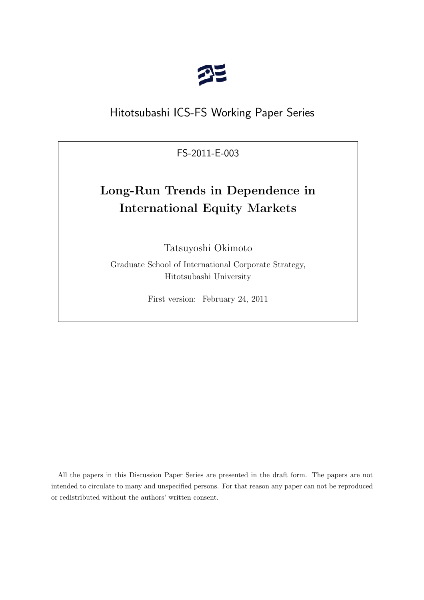

## Hitotsubashi ICS-FS Working Paper Series

FS-2011-E-003

# **Long-Run Trends in Dependence in International Equity Markets**

Tatsuyoshi Okimoto

Graduate School of International Corporate Strategy, Hitotsubashi University

First version: February 24, 2011

All the papers in this Discussion Paper Series are presented in the draft form. The papers are not intended to circulate to many and unspecified persons. For that reason any paper can not be reproduced or redistributed without the authors' written consent.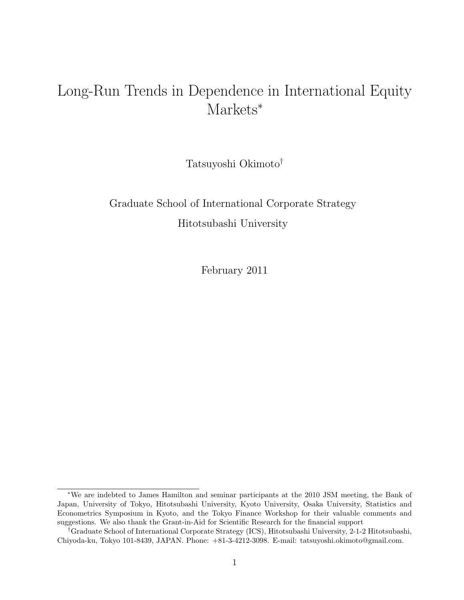# Long-Run Trends in Dependence in International Equity Markets<sup>\*</sup>

Tatsuyoshi Okimoto†

# Graduate School of International Corporate Strategy Hitotsubashi University

February 2011

<sup>∗</sup>We are indebted to James Hamilton and seminar participants at the 2010 JSM meeting, the Bank of Japan, University of Tokyo, Hitotsubashi University, Kyoto University, Osaka University, Statistics and Econometrics Symposium in Kyoto, and the Tokyo Finance Workshop for their valuable comments and suggestions. We also thank the Grant-in-Aid for Scientific Research for the financial support

<sup>†</sup>Graduate School of International Corporate Strategy (ICS), Hitotsubashi University, 2-1-2 Hitotsubashi, Chiyoda-ku, Tokyo 101-8439, JAPAN. Phone: +81-3-4212-3098. E-mail: tatsuyoshi.okimoto@gmail.com.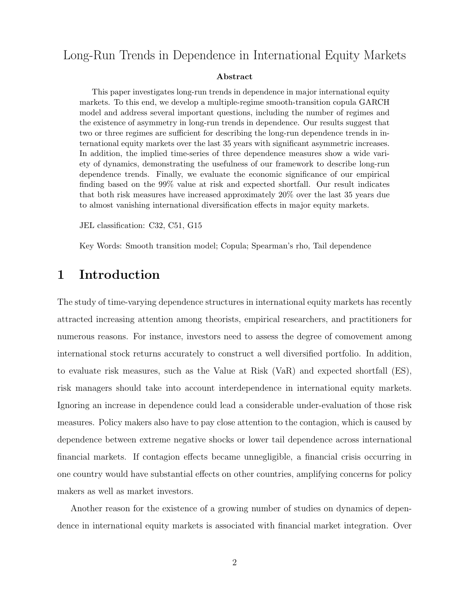### Long-Run Trends in Dependence in International Equity Markets

#### Abstract

This paper investigates long-run trends in dependence in major international equity markets. To this end, we develop a multiple-regime smooth-transition copula GARCH model and address several important questions, including the number of regimes and the existence of asymmetry in long-run trends in dependence. Our results suggest that two or three regimes are sufficient for describing the long-run dependence trends in international equity markets over the last 35 years with significant asymmetric increases. In addition, the implied time-series of three dependence measures show a wide variety of dynamics, demonstrating the usefulness of our framework to describe long-run dependence trends. Finally, we evaluate the economic significance of our empirical finding based on the 99% value at risk and expected shortfall. Our result indicates that both risk measures have increased approximately 20% over the last 35 years due to almost vanishing international diversification effects in major equity markets.

JEL classification: C32, C51, G15

Key Words: Smooth transition model; Copula; Spearman's rho, Tail dependence

### 1 Introduction

The study of time-varying dependence structures in international equity markets has recently attracted increasing attention among theorists, empirical researchers, and practitioners for numerous reasons. For instance, investors need to assess the degree of comovement among international stock returns accurately to construct a well diversified portfolio. In addition, to evaluate risk measures, such as the Value at Risk (VaR) and expected shortfall (ES), risk managers should take into account interdependence in international equity markets. Ignoring an increase in dependence could lead a considerable under-evaluation of those risk measures. Policy makers also have to pay close attention to the contagion, which is caused by dependence between extreme negative shocks or lower tail dependence across international financial markets. If contagion effects became unnegligible, a financial crisis occurring in one country would have substantial effects on other countries, amplifying concerns for policy makers as well as market investors.

Another reason for the existence of a growing number of studies on dynamics of dependence in international equity markets is associated with financial market integration. Over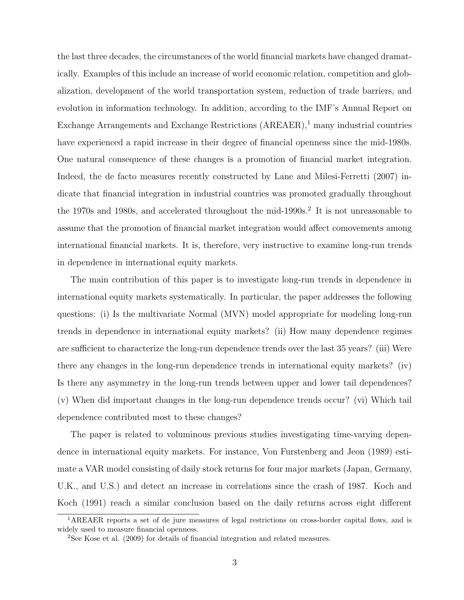the last three decades, the circumstances of the world financial markets have changed dramatically. Examples of this include an increase of world economic relation, competition and globalization, development of the world transportation system, reduction of trade barriers, and evolution in information technology. In addition, according to the IMF's Annual Report on Exchange Arrangements and Exchange Restrictions  $(AREAER)$ ,<sup>1</sup> many industrial countries have experienced a rapid increase in their degree of financial openness since the mid-1980s. One natural consequence of these changes is a promotion of financial market integration. Indeed, the de facto measures recently constructed by Lane and Milesi-Ferretti (2007) indicate that financial integration in industrial countries was promoted gradually throughout the 1970s and 1980s, and accelerated throughout the mid-1990s.<sup>2</sup> It is not unreasonable to assume that the promotion of financial market integration would affect comovements among international financial markets. It is, therefore, very instructive to examine long-run trends in dependence in international equity markets.

The main contribution of this paper is to investigate long-run trends in dependence in international equity markets systematically. In particular, the paper addresses the following questions: (i) Is the multivariate Normal (MVN) model appropriate for modeling long-run trends in dependence in international equity markets? (ii) How many dependence regimes are sufficient to characterize the long-run dependence trends over the last 35 years? (iii) Were there any changes in the long-run dependence trends in international equity markets? (iv) Is there any asymmetry in the long-run trends between upper and lower tail dependences? (v) When did important changes in the long-run dependence trends occur? (vi) Which tail dependence contributed most to these changes?

The paper is related to voluminous previous studies investigating time-varying dependence in international equity markets. For instance, Von Furstenberg and Jeon (1989) estimate a VAR model consisting of daily stock returns for four major markets (Japan, Germany, U.K., and U.S.) and detect an increase in correlations since the crash of 1987. Koch and Koch (1991) reach a similar conclusion based on the daily returns across eight different

<sup>&</sup>lt;sup>1</sup>AREAER reports a set of de jure measures of legal restrictions on cross-border capital flows, and is widely used to measure financial openness.

<sup>2</sup>See Kose et al. (2009) for details of financial integration and related measures.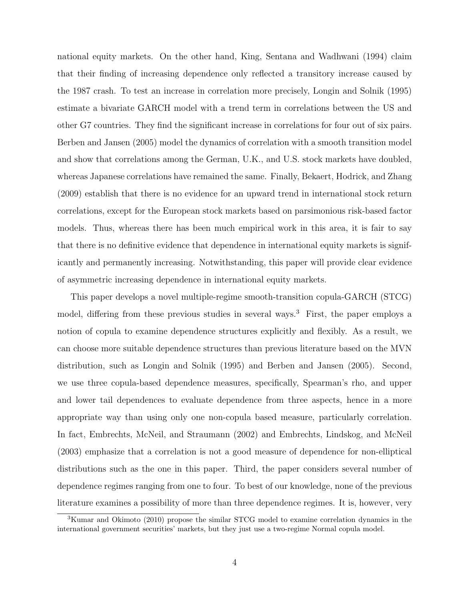national equity markets. On the other hand, King, Sentana and Wadhwani (1994) claim that their finding of increasing dependence only reflected a transitory increase caused by the 1987 crash. To test an increase in correlation more precisely, Longin and Solnik (1995) estimate a bivariate GARCH model with a trend term in correlations between the US and other G7 countries. They find the significant increase in correlations for four out of six pairs. Berben and Jansen (2005) model the dynamics of correlation with a smooth transition model and show that correlations among the German, U.K., and U.S. stock markets have doubled, whereas Japanese correlations have remained the same. Finally, Bekaert, Hodrick, and Zhang (2009) establish that there is no evidence for an upward trend in international stock return correlations, except for the European stock markets based on parsimonious risk-based factor models. Thus, whereas there has been much empirical work in this area, it is fair to say that there is no definitive evidence that dependence in international equity markets is significantly and permanently increasing. Notwithstanding, this paper will provide clear evidence of asymmetric increasing dependence in international equity markets.

This paper develops a novel multiple-regime smooth-transition copula-GARCH (STCG) model, differing from these previous studies in several ways.<sup>3</sup> First, the paper employs a notion of copula to examine dependence structures explicitly and flexibly. As a result, we can choose more suitable dependence structures than previous literature based on the MVN distribution, such as Longin and Solnik (1995) and Berben and Jansen (2005). Second, we use three copula-based dependence measures, specifically, Spearman's rho, and upper and lower tail dependences to evaluate dependence from three aspects, hence in a more appropriate way than using only one non-copula based measure, particularly correlation. In fact, Embrechts, McNeil, and Straumann (2002) and Embrechts, Lindskog, and McNeil (2003) emphasize that a correlation is not a good measure of dependence for non-elliptical distributions such as the one in this paper. Third, the paper considers several number of dependence regimes ranging from one to four. To best of our knowledge, none of the previous literature examines a possibility of more than three dependence regimes. It is, however, very

<sup>3</sup>Kumar and Okimoto (2010) propose the similar STCG model to examine correlation dynamics in the international government securities' markets, but they just use a two-regime Normal copula model.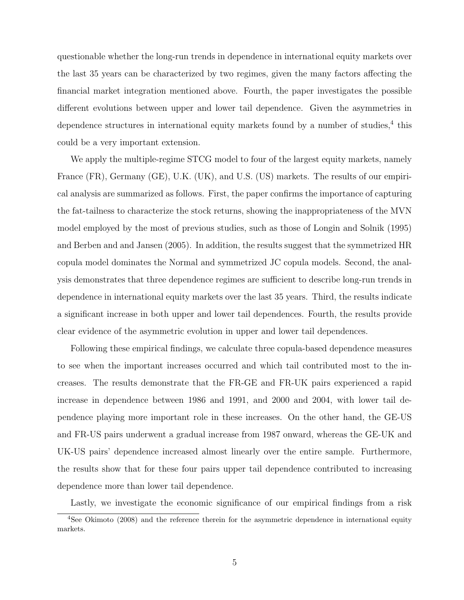questionable whether the long-run trends in dependence in international equity markets over the last 35 years can be characterized by two regimes, given the many factors affecting the financial market integration mentioned above. Fourth, the paper investigates the possible different evolutions between upper and lower tail dependence. Given the asymmetries in dependence structures in international equity markets found by a number of studies,<sup>4</sup> this could be a very important extension.

We apply the multiple-regime STCG model to four of the largest equity markets, namely France (FR), Germany (GE), U.K. (UK), and U.S. (US) markets. The results of our empirical analysis are summarized as follows. First, the paper confirms the importance of capturing the fat-tailness to characterize the stock returns, showing the inappropriateness of the MVN model employed by the most of previous studies, such as those of Longin and Solnik (1995) and Berben and and Jansen (2005). In addition, the results suggest that the symmetrized HR copula model dominates the Normal and symmetrized JC copula models. Second, the analysis demonstrates that three dependence regimes are sufficient to describe long-run trends in dependence in international equity markets over the last 35 years. Third, the results indicate a significant increase in both upper and lower tail dependences. Fourth, the results provide clear evidence of the asymmetric evolution in upper and lower tail dependences.

Following these empirical findings, we calculate three copula-based dependence measures to see when the important increases occurred and which tail contributed most to the increases. The results demonstrate that the FR-GE and FR-UK pairs experienced a rapid increase in dependence between 1986 and 1991, and 2000 and 2004, with lower tail dependence playing more important role in these increases. On the other hand, the GE-US and FR-US pairs underwent a gradual increase from 1987 onward, whereas the GE-UK and UK-US pairs' dependence increased almost linearly over the entire sample. Furthermore, the results show that for these four pairs upper tail dependence contributed to increasing dependence more than lower tail dependence.

Lastly, we investigate the economic significance of our empirical findings from a risk

<sup>&</sup>lt;sup>4</sup>See Okimoto (2008) and the reference therein for the asymmetric dependence in international equity markets.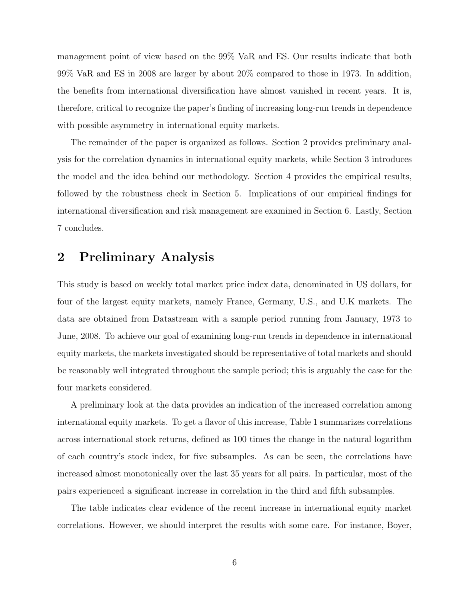management point of view based on the 99% VaR and ES. Our results indicate that both 99% VaR and ES in 2008 are larger by about 20% compared to those in 1973. In addition, the benefits from international diversification have almost vanished in recent years. It is, therefore, critical to recognize the paper's finding of increasing long-run trends in dependence with possible asymmetry in international equity markets.

The remainder of the paper is organized as follows. Section 2 provides preliminary analysis for the correlation dynamics in international equity markets, while Section 3 introduces the model and the idea behind our methodology. Section 4 provides the empirical results, followed by the robustness check in Section 5. Implications of our empirical findings for international diversification and risk management are examined in Section 6. Lastly, Section 7 concludes.

### 2 Preliminary Analysis

This study is based on weekly total market price index data, denominated in US dollars, for four of the largest equity markets, namely France, Germany, U.S., and U.K markets. The data are obtained from Datastream with a sample period running from January, 1973 to June, 2008. To achieve our goal of examining long-run trends in dependence in international equity markets, the markets investigated should be representative of total markets and should be reasonably well integrated throughout the sample period; this is arguably the case for the four markets considered.

A preliminary look at the data provides an indication of the increased correlation among international equity markets. To get a flavor of this increase, Table 1 summarizes correlations across international stock returns, defined as 100 times the change in the natural logarithm of each country's stock index, for five subsamples. As can be seen, the correlations have increased almost monotonically over the last 35 years for all pairs. In particular, most of the pairs experienced a significant increase in correlation in the third and fifth subsamples.

The table indicates clear evidence of the recent increase in international equity market correlations. However, we should interpret the results with some care. For instance, Boyer,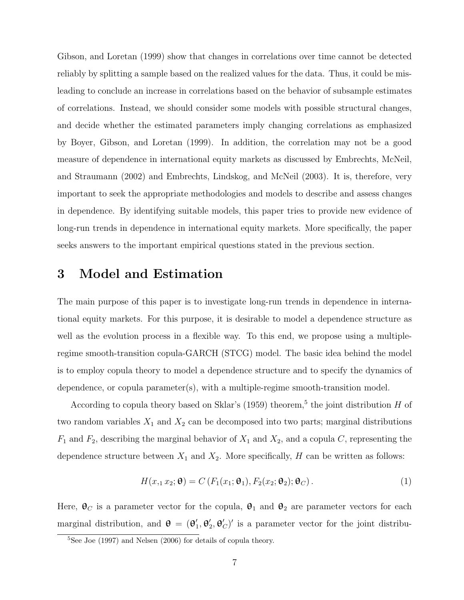Gibson, and Loretan (1999) show that changes in correlations over time cannot be detected reliably by splitting a sample based on the realized values for the data. Thus, it could be misleading to conclude an increase in correlations based on the behavior of subsample estimates of correlations. Instead, we should consider some models with possible structural changes, and decide whether the estimated parameters imply changing correlations as emphasized by Boyer, Gibson, and Loretan (1999). In addition, the correlation may not be a good measure of dependence in international equity markets as discussed by Embrechts, McNeil, and Straumann (2002) and Embrechts, Lindskog, and McNeil (2003). It is, therefore, very important to seek the appropriate methodologies and models to describe and assess changes in dependence. By identifying suitable models, this paper tries to provide new evidence of long-run trends in dependence in international equity markets. More specifically, the paper seeks answers to the important empirical questions stated in the previous section.

### 3 Model and Estimation

The main purpose of this paper is to investigate long-run trends in dependence in international equity markets. For this purpose, it is desirable to model a dependence structure as well as the evolution process in a flexible way. To this end, we propose using a multipleregime smooth-transition copula-GARCH (STCG) model. The basic idea behind the model is to employ copula theory to model a dependence structure and to specify the dynamics of dependence, or copula parameter(s), with a multiple-regime smooth-transition model.

According to copula theory based on Sklar's (1959) theorem,<sup>5</sup> the joint distribution  $H$  of two random variables  $X_1$  and  $X_2$  can be decomposed into two parts; marginal distributions  $F_1$  and  $F_2$ , describing the marginal behavior of  $X_1$  and  $X_2$ , and a copula C, representing the dependence structure between  $X_1$  and  $X_2$ . More specifically, H can be written as follows:

$$
H(x_1, x_2; \mathbf{\Theta}) = C(F_1(x_1; \mathbf{\Theta}_1), F_2(x_2; \mathbf{\Theta}_2); \mathbf{\Theta}_C).
$$
 (1)

Here,  $\mathbf{\Theta}_C$  is a parameter vector for the copula,  $\mathbf{\Theta}_1$  and  $\mathbf{\Theta}_2$  are parameter vectors for each marginal distribution, and  $\theta = (\theta)$  $_{1}^{\prime },\theta _{2}^{\prime }$  $\mathcal{L}_2, \Theta_C'$  is a parameter vector for the joint distribu-

 ${}^{5}$ See Joe (1997) and Nelsen (2006) for details of copula theory.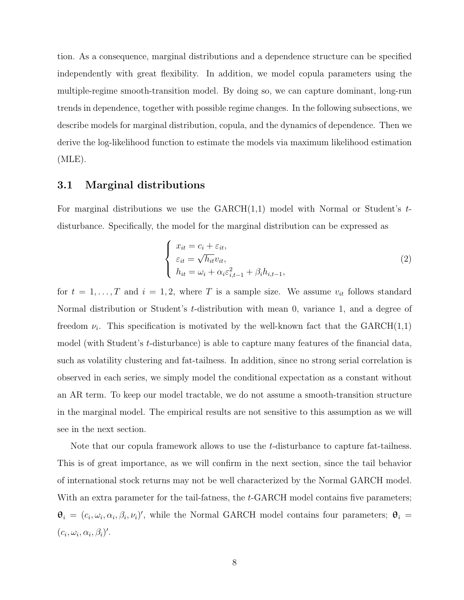tion. As a consequence, marginal distributions and a dependence structure can be specified independently with great flexibility. In addition, we model copula parameters using the multiple-regime smooth-transition model. By doing so, we can capture dominant, long-run trends in dependence, together with possible regime changes. In the following subsections, we describe models for marginal distribution, copula, and the dynamics of dependence. Then we derive the log-likelihood function to estimate the models via maximum likelihood estimation  $(MLE)$ .

#### 3.1 Marginal distributions

For marginal distributions we use the  $GARCH(1,1)$  model with Normal or Student's tdisturbance. Specifically, the model for the marginal distribution can be expressed as

$$
\begin{cases}\n x_{it} = c_i + \varepsilon_{it}, \\
\varepsilon_{it} = \sqrt{h_{it}} v_{it}, \\
h_{it} = \omega_i + \alpha_i \varepsilon_{i, t-1}^2 + \beta_i h_{i, t-1},\n\end{cases}
$$
\n(2)

for  $t = 1, ..., T$  and  $i = 1, 2$ , where T is a sample size. We assume  $v_{it}$  follows standard Normal distribution or Student's t-distribution with mean 0, variance 1, and a degree of freedom  $\nu_i$ . This specification is motivated by the well-known fact that the GARCH(1,1) model (with Student's t-disturbance) is able to capture many features of the financial data, such as volatility clustering and fat-tailness. In addition, since no strong serial correlation is observed in each series, we simply model the conditional expectation as a constant without an AR term. To keep our model tractable, we do not assume a smooth-transition structure in the marginal model. The empirical results are not sensitive to this assumption as we will see in the next section.

Note that our copula framework allows to use the t-disturbance to capture fat-tailness. This is of great importance, as we will confirm in the next section, since the tail behavior of international stock returns may not be well characterized by the Normal GARCH model. With an extra parameter for the tail-fatness, the t-GARCH model contains five parameters;  $\theta_i = (c_i, \omega_i, \alpha_i, \beta_i, \nu_i)'$ , while the Normal GARCH model contains four parameters;  $\theta_i =$  $(c_i, \omega_i, \alpha_i, \beta_i)'$ .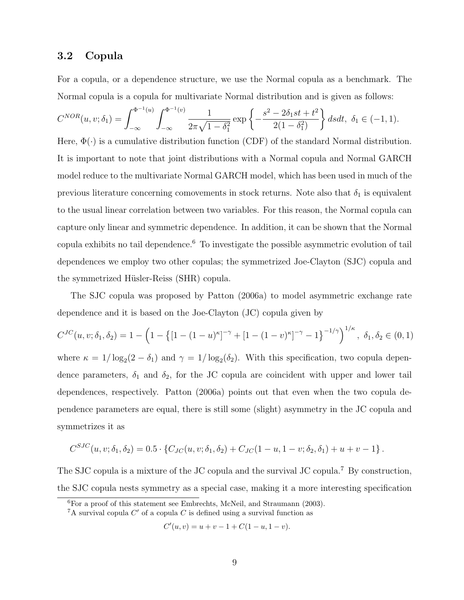#### 3.2 Copula

For a copula, or a dependence structure, we use the Normal copula as a benchmark. The Normal copula is a copula for multivariate Normal distribution and is given as follows:

$$
C^{NOR}(u, v; \delta_1) = \int_{-\infty}^{\Phi^{-1}(u)} \int_{-\infty}^{\Phi^{-1}(v)} \frac{1}{2\pi\sqrt{1-\delta_1^2}} \exp\left\{-\frac{s^2 - 2\delta_1 st + t^2}{2(1-\delta_1^2)}\right\} ds dt, \ \delta_1 \in (-1, 1).
$$

Here,  $\Phi(\cdot)$  is a cumulative distribution function (CDF) of the standard Normal distribution. It is important to note that joint distributions with a Normal copula and Normal GARCH model reduce to the multivariate Normal GARCH model, which has been used in much of the previous literature concerning comovements in stock returns. Note also that  $\delta_1$  is equivalent to the usual linear correlation between two variables. For this reason, the Normal copula can capture only linear and symmetric dependence. In addition, it can be shown that the Normal copula exhibits no tail dependence.<sup>6</sup> To investigate the possible asymmetric evolution of tail dependences we employ two other copulas; the symmetrized Joe-Clayton (SJC) copula and the symmetrized Hüsler-Reiss (SHR) copula.

The SJC copula was proposed by Patton (2006a) to model asymmetric exchange rate dependence and it is based on the Joe-Clayton (JC) copula given by

$$
C^{JC}(u, v; \delta_1, \delta_2) = 1 - \left(1 - \left\{[1 - (1 - u)^{\kappa}]^{-\gamma} + [1 - (1 - v)^{\kappa}]^{-\gamma} - 1\right\}^{-1/\gamma}\right)^{1/\kappa}, \delta_1, \delta_2 \in (0, 1)
$$

where  $\kappa = 1/\log_2(2 - \delta_1)$  and  $\gamma = 1/\log_2(\delta_2)$ . With this specification, two copula dependence parameters,  $\delta_1$  and  $\delta_2$ , for the JC copula are coincident with upper and lower tail dependences, respectively. Patton (2006a) points out that even when the two copula dependence parameters are equal, there is still some (slight) asymmetry in the JC copula and symmetrizes it as

$$
C^{SJC}(u, v; \delta_1, \delta_2) = 0.5 \cdot \{C_{JC}(u, v; \delta_1, \delta_2) + C_{JC}(1 - u, 1 - v; \delta_2, \delta_1) + u + v - 1\}.
$$

The SJC copula is a mixture of the JC copula and the survival JC copula.<sup>7</sup> By construction, the SJC copula nests symmetry as a special case, making it a more interesting specification

$$
C'(u, v) = u + v - 1 + C(1 - u, 1 - v).
$$

 ${}^{6}$ For a proof of this statement see Embrechts, McNeil, and Straumann (2003).

<sup>&</sup>lt;sup>7</sup>A survival copula  $C'$  of a copula  $C$  is defined using a survival function as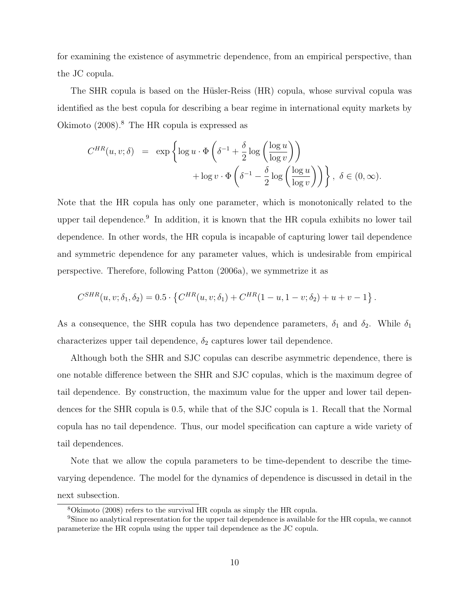for examining the existence of asymmetric dependence, from an empirical perspective, than the JC copula.

The SHR copula is based on the Hüsler-Reiss (HR) copula, whose survival copula was identified as the best copula for describing a bear regime in international equity markets by Okimoto  $(2008)^8$ . The HR copula is expressed as

$$
C^{HR}(u, v; \delta) = \exp \left\{ \log u \cdot \Phi \left( \delta^{-1} + \frac{\delta}{2} \log \left( \frac{\log u}{\log v} \right) \right) + \log v \cdot \Phi \left( \delta^{-1} - \frac{\delta}{2} \log \left( \frac{\log u}{\log v} \right) \right) \right\}, \delta \in (0, \infty).
$$

Note that the HR copula has only one parameter, which is monotonically related to the upper tail dependence.<sup>9</sup> In addition, it is known that the HR copula exhibits no lower tail dependence. In other words, the HR copula is incapable of capturing lower tail dependence and symmetric dependence for any parameter values, which is undesirable from empirical perspective. Therefore, following Patton (2006a), we symmetrize it as

$$
C^{SHR}(u, v; \delta_1, \delta_2) = 0.5 \cdot \left\{ C^{HR}(u, v; \delta_1) + C^{HR}(1 - u, 1 - v; \delta_2) + u + v - 1 \right\}.
$$

As a consequence, the SHR copula has two dependence parameters,  $\delta_1$  and  $\delta_2$ . While  $\delta_1$ characterizes upper tail dependence,  $\delta_2$  captures lower tail dependence.

Although both the SHR and SJC copulas can describe asymmetric dependence, there is one notable difference between the SHR and SJC copulas, which is the maximum degree of tail dependence. By construction, the maximum value for the upper and lower tail dependences for the SHR copula is 0.5, while that of the SJC copula is 1. Recall that the Normal copula has no tail dependence. Thus, our model specification can capture a wide variety of tail dependences.

Note that we allow the copula parameters to be time-dependent to describe the timevarying dependence. The model for the dynamics of dependence is discussed in detail in the next subsection.

<sup>8</sup>Okimoto (2008) refers to the survival HR copula as simply the HR copula.

<sup>9</sup>Since no analytical representation for the upper tail dependence is available for the HR copula, we cannot parameterize the HR copula using the upper tail dependence as the JC copula.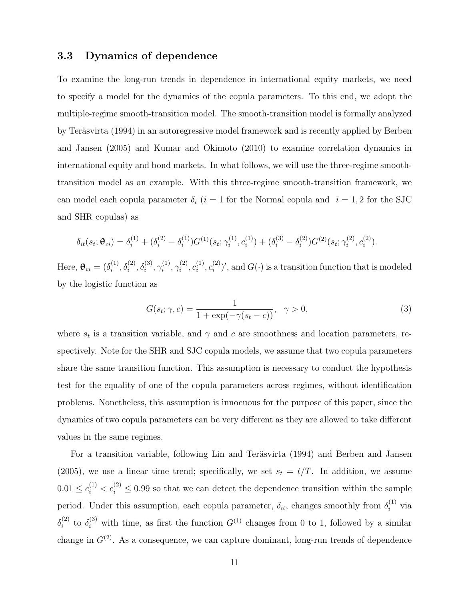### 3.3 Dynamics of dependence

To examine the long-run trends in dependence in international equity markets, we need to specify a model for the dynamics of the copula parameters. To this end, we adopt the multiple-regime smooth-transition model. The smooth-transition model is formally analyzed by Teräsvirta (1994) in an autoregressive model framework and is recently applied by Berben and Jansen (2005) and Kumar and Okimoto (2010) to examine correlation dynamics in international equity and bond markets. In what follows, we will use the three-regime smoothtransition model as an example. With this three-regime smooth-transition framework, we can model each copula parameter  $\delta_i$  (i = 1 for the Normal copula and i = 1,2 for the SJC and SHR copulas) as

$$
\delta_{it}(s_t; \mathbf{\Theta}_{ci}) = \delta_i^{(1)} + (\delta_i^{(2)} - \delta_i^{(1)})G^{(1)}(s_t; \gamma_i^{(1)}, c_i^{(1)}) + (\delta_i^{(3)} - \delta_i^{(2)})G^{(2)}(s_t; \gamma_i^{(2)}, c_i^{(2)}).
$$

Here,  $\mathbf{\theta}_{ci} = (\delta_i^{(1)})$  $\delta_i^{(1)}, \delta_i^{(2)}, \delta_i^{(3)}, \gamma_i^{(1)}$  $\gamma_i^{(1)},\gamma_i^{(2)}$  $\epsilon_i^{(2)}, \epsilon_i^{(1)}$  $i^{(1)}, c_i^{(2)}$  $\binom{2}{i}$ , and  $G(\cdot)$  is a transition function that is modeled by the logistic function as

$$
G(s_t; \gamma, c) = \frac{1}{1 + \exp(-\gamma(s_t - c))}, \quad \gamma > 0,
$$
\n
$$
(3)
$$

where  $s_t$  is a transition variable, and  $\gamma$  and c are smoothness and location parameters, respectively. Note for the SHR and SJC copula models, we assume that two copula parameters share the same transition function. This assumption is necessary to conduct the hypothesis test for the equality of one of the copula parameters across regimes, without identification problems. Nonetheless, this assumption is innocuous for the purpose of this paper, since the dynamics of two copula parameters can be very different as they are allowed to take different values in the same regimes.

For a transition variable, following Lin and Teräsvirta (1994) and Berben and Jansen (2005), we use a linear time trend; specifically, we set  $s_t = t/T$ . In addition, we assume  $0.01 \leq c_i^{(1)} < c_i^{(2)} \leq 0.99$  so that we can detect the dependence transition within the sample period. Under this assumption, each copula parameter,  $\delta_{it}$ , changes smoothly from  $\delta_i^{(1)}$  via  $\delta_i^{(2)}$  $\delta_i^{(2)}$  to  $\delta_i^{(3)}$  with time, as first the function  $G^{(1)}$  changes from 0 to 1, followed by a similar change in  $G^{(2)}$ . As a consequence, we can capture dominant, long-run trends of dependence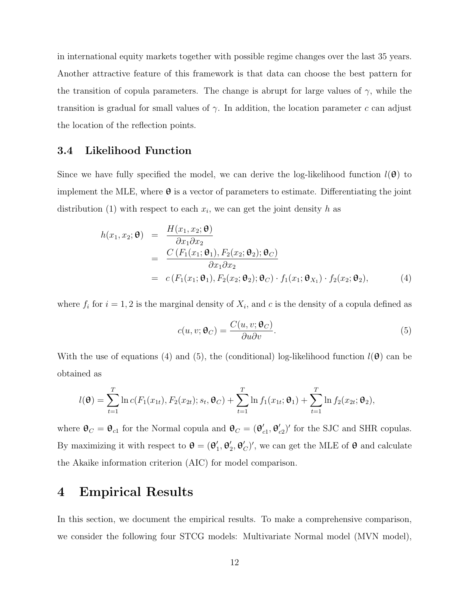in international equity markets together with possible regime changes over the last 35 years. Another attractive feature of this framework is that data can choose the best pattern for the transition of copula parameters. The change is abrupt for large values of  $\gamma$ , while the transition is gradual for small values of  $\gamma$ . In addition, the location parameter c can adjust the location of the reflection points.

#### 3.4 Likelihood Function

Since we have fully specified the model, we can derive the log-likelihood function  $l(\theta)$  to implement the MLE, where  $\theta$  is a vector of parameters to estimate. Differentiating the joint distribution (1) with respect to each  $x_i$ , we can get the joint density h as

$$
h(x_1, x_2; \mathbf{\theta}) = \frac{H(x_1, x_2; \mathbf{\theta})}{\partial x_1 \partial x_2}
$$
  
= 
$$
\frac{C (F_1(x_1; \mathbf{\theta}_1), F_2(x_2; \mathbf{\theta}_2); \mathbf{\theta}_C)}{\partial x_1 \partial x_2}
$$
  
= 
$$
c (F_1(x_1; \mathbf{\theta}_1), F_2(x_2; \mathbf{\theta}_2); \mathbf{\theta}_C) \cdot f_1(x_1; \mathbf{\theta}_{X_1}) \cdot f_2(x_2; \mathbf{\theta}_2),
$$
 (4)

where  $f_i$  for  $i = 1, 2$  is the marginal density of  $X_i$ , and c is the density of a copula defined as

$$
c(u, v; \mathbf{\Theta}_C) = \frac{C(u, v; \mathbf{\Theta}_C)}{\partial u \partial v}.
$$
\n<sup>(5)</sup>

With the use of equations (4) and (5), the (conditional) log-likelihood function  $l(\theta)$  can be obtained as

$$
l(\mathbf{\Theta}) = \sum_{t=1}^{T} \ln c(F_1(x_{1t}), F_2(x_{2t}); s_t, \mathbf{\Theta}_C) + \sum_{t=1}^{T} \ln f_1(x_{1t}; \mathbf{\Theta}_1) + \sum_{t=1}^{T} \ln f_2(x_{2t}; \mathbf{\Theta}_2),
$$

where  $\mathbf{\theta}_C = \mathbf{\theta}_{c1}$  for the Normal copula and  $\mathbf{\theta}_C = (\mathbf{\theta}_{c1})^T$  $_{c1}^{\prime}, \theta_{c}^{\prime}$  $c<sub>c2</sub>$ )' for the SJC and SHR copulas. By maximizing it with respect to  $\mathbf{\theta} = (\mathbf{\theta}_1)$  $_{1}^{\prime },\theta _{2}^{\prime }$  $\mathcal{L}_2, \theta_C'$ , we can get the MLE of  $\theta$  and calculate the Akaike information criterion (AIC) for model comparison.

### 4 Empirical Results

In this section, we document the empirical results. To make a comprehensive comparison, we consider the following four STCG models: Multivariate Normal model (MVN model),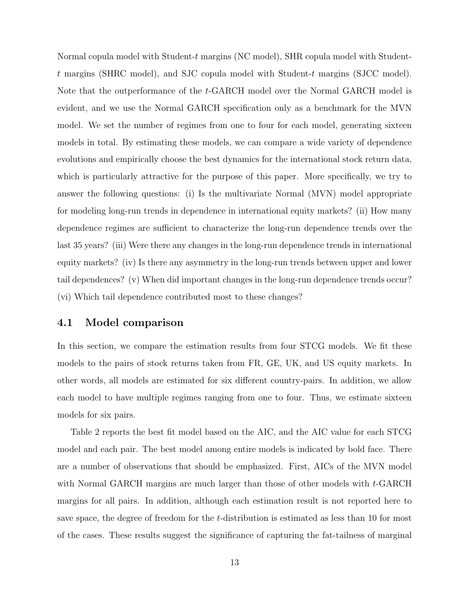Normal copula model with Student-t margins (NC model), SHR copula model with Studentt margins (SHRC model), and SJC copula model with Student-t margins (SJCC model). Note that the outperformance of the t-GARCH model over the Normal GARCH model is evident, and we use the Normal GARCH specification only as a benchmark for the MVN model. We set the number of regimes from one to four for each model, generating sixteen models in total. By estimating these models, we can compare a wide variety of dependence evolutions and empirically choose the best dynamics for the international stock return data, which is particularly attractive for the purpose of this paper. More specifically, we try to answer the following questions: (i) Is the multivariate Normal (MVN) model appropriate for modeling long-run trends in dependence in international equity markets? (ii) How many dependence regimes are sufficient to characterize the long-run dependence trends over the last 35 years? (iii) Were there any changes in the long-run dependence trends in international equity markets? (iv) Is there any asymmetry in the long-run trends between upper and lower tail dependences? (v) When did important changes in the long-run dependence trends occur? (vi) Which tail dependence contributed most to these changes?

#### 4.1 Model comparison

In this section, we compare the estimation results from four STCG models. We fit these models to the pairs of stock returns taken from FR, GE, UK, and US equity markets. In other words, all models are estimated for six different country-pairs. In addition, we allow each model to have multiple regimes ranging from one to four. Thus, we estimate sixteen models for six pairs.

Table 2 reports the best fit model based on the AIC, and the AIC value for each STCG model and each pair. The best model among entire models is indicated by bold face. There are a number of observations that should be emphasized. First, AICs of the MVN model with Normal GARCH margins are much larger than those of other models with t-GARCH margins for all pairs. In addition, although each estimation result is not reported here to save space, the degree of freedom for the t-distribution is estimated as less than 10 for most of the cases. These results suggest the significance of capturing the fat-tailness of marginal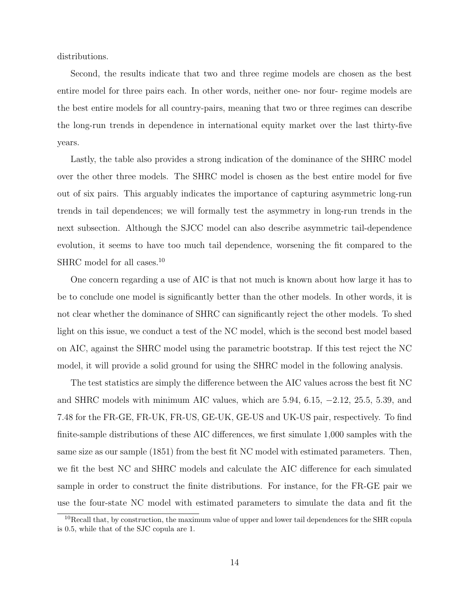distributions.

Second, the results indicate that two and three regime models are chosen as the best entire model for three pairs each. In other words, neither one- nor four- regime models are the best entire models for all country-pairs, meaning that two or three regimes can describe the long-run trends in dependence in international equity market over the last thirty-five years.

Lastly, the table also provides a strong indication of the dominance of the SHRC model over the other three models. The SHRC model is chosen as the best entire model for five out of six pairs. This arguably indicates the importance of capturing asymmetric long-run trends in tail dependences; we will formally test the asymmetry in long-run trends in the next subsection. Although the SJCC model can also describe asymmetric tail-dependence evolution, it seems to have too much tail dependence, worsening the fit compared to the SHRC model for all cases.<sup>10</sup>

One concern regarding a use of AIC is that not much is known about how large it has to be to conclude one model is significantly better than the other models. In other words, it is not clear whether the dominance of SHRC can significantly reject the other models. To shed light on this issue, we conduct a test of the NC model, which is the second best model based on AIC, against the SHRC model using the parametric bootstrap. If this test reject the NC model, it will provide a solid ground for using the SHRC model in the following analysis.

The test statistics are simply the difference between the AIC values across the best fit NC and SHRC models with minimum AIC values, which are 5.94, 6.15, −2.12, 25.5, 5.39, and 7.48 for the FR-GE, FR-UK, FR-US, GE-UK, GE-US and UK-US pair, respectively. To find finite-sample distributions of these AIC differences, we first simulate 1,000 samples with the same size as our sample (1851) from the best fit NC model with estimated parameters. Then, we fit the best NC and SHRC models and calculate the AIC difference for each simulated sample in order to construct the finite distributions. For instance, for the FR-GE pair we use the four-state NC model with estimated parameters to simulate the data and fit the

<sup>10</sup>Recall that, by construction, the maximum value of upper and lower tail dependences for the SHR copula is 0.5, while that of the SJC copula are 1.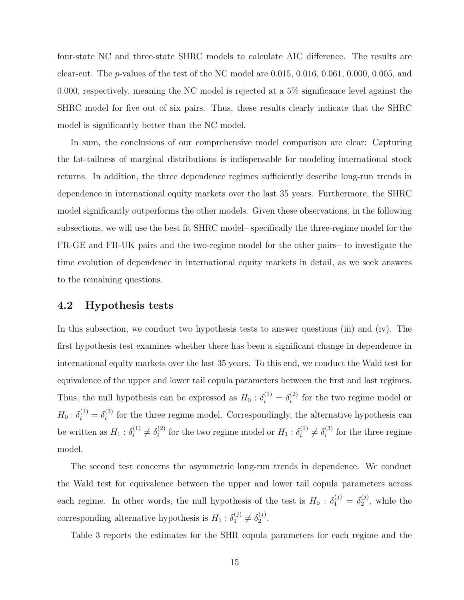four-state NC and three-state SHRC models to calculate AIC difference. The results are clear-cut. The *p*-values of the test of the NC model are  $0.015, 0.016, 0.061, 0.000, 0.005,$  and 0.000, respectively, meaning the NC model is rejected at a 5% significance level against the SHRC model for five out of six pairs. Thus, these results clearly indicate that the SHRC model is significantly better than the NC model.

In sum, the conclusions of our comprehensive model comparison are clear: Capturing the fat-tailness of marginal distributions is indispensable for modeling international stock returns. In addition, the three dependence regimes sufficiently describe long-run trends in dependence in international equity markets over the last 35 years. Furthermore, the SHRC model significantly outperforms the other models. Given these observations, in the following subsections, we will use the best fit SHRC model– specifically the three-regime model for the FR-GE and FR-UK pairs and the two-regime model for the other pairs– to investigate the time evolution of dependence in international equity markets in detail, as we seek answers to the remaining questions.

#### 4.2 Hypothesis tests

In this subsection, we conduct two hypothesis tests to answer questions (iii) and (iv). The first hypothesis test examines whether there has been a significant change in dependence in international equity markets over the last 35 years. To this end, we conduct the Wald test for equivalence of the upper and lower tail copula parameters between the first and last regimes. Thus, the null hypothesis can be expressed as  $H_0: \delta_i^{(1)} = \delta_i^{(2)}$  $i^{(2)}$  for the two regime model or  $H_0: \delta_i^{(1)} = \delta_i^{(3)}$  $i_j^{(3)}$  for the three regime model. Correspondingly, the alternative hypothesis can be written as  $H_1 : \delta_i^{(1)}$  $\delta_i^{(1)} \neq \delta_i^{(2)}$  $i^{(2)}$  for the two regime model or  $H_1 : \delta_i^{(1)}$  $\delta_i^{(1)} \neq \delta_i^{(3)}$  $i^{(3)}$  for the three regime model.

The second test concerns the asymmetric long-run trends in dependence. We conduct the Wald test for equivalence between the upper and lower tail copula parameters across each regime. In other words, the null hypothesis of the test is  $H_0: \delta_1^{(j)} = \delta_2^{(j)}$  $2^{(j)}$ , while the corresponding alternative hypothesis is  $H_1: \delta_1^{(j)} \neq \delta_2^{(j)}$  $\frac{(J)}{2}$ .

Table 3 reports the estimates for the SHR copula parameters for each regime and the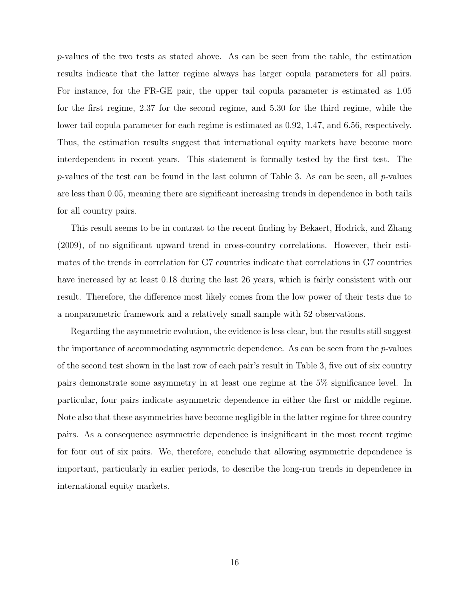p-values of the two tests as stated above. As can be seen from the table, the estimation results indicate that the latter regime always has larger copula parameters for all pairs. For instance, for the FR-GE pair, the upper tail copula parameter is estimated as 1.05 for the first regime, 2.37 for the second regime, and 5.30 for the third regime, while the lower tail copula parameter for each regime is estimated as 0.92, 1.47, and 6.56, respectively. Thus, the estimation results suggest that international equity markets have become more interdependent in recent years. This statement is formally tested by the first test. The p-values of the test can be found in the last column of Table 3. As can be seen, all p-values are less than 0.05, meaning there are significant increasing trends in dependence in both tails for all country pairs.

This result seems to be in contrast to the recent finding by Bekaert, Hodrick, and Zhang (2009), of no significant upward trend in cross-country correlations. However, their estimates of the trends in correlation for G7 countries indicate that correlations in G7 countries have increased by at least 0.18 during the last 26 years, which is fairly consistent with our result. Therefore, the difference most likely comes from the low power of their tests due to a nonparametric framework and a relatively small sample with 52 observations.

Regarding the asymmetric evolution, the evidence is less clear, but the results still suggest the importance of accommodating asymmetric dependence. As can be seen from the  $p$ -values of the second test shown in the last row of each pair's result in Table 3, five out of six country pairs demonstrate some asymmetry in at least one regime at the 5% significance level. In particular, four pairs indicate asymmetric dependence in either the first or middle regime. Note also that these asymmetries have become negligible in the latter regime for three country pairs. As a consequence asymmetric dependence is insignificant in the most recent regime for four out of six pairs. We, therefore, conclude that allowing asymmetric dependence is important, particularly in earlier periods, to describe the long-run trends in dependence in international equity markets.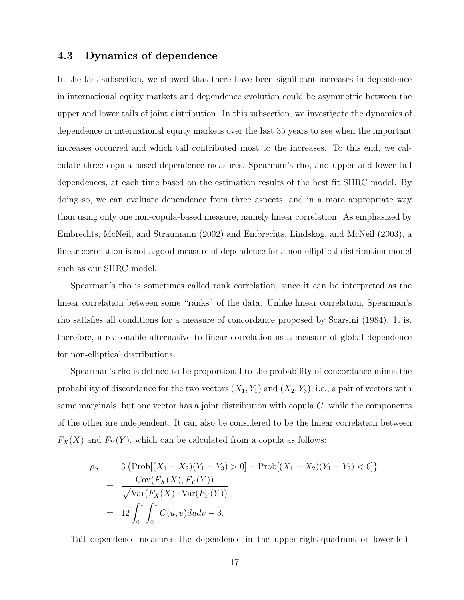### 4.3 Dynamics of dependence

In the last subsection, we showed that there have been significant increases in dependence in international equity markets and dependence evolution could be asymmetric between the upper and lower tails of joint distribution. In this subsection, we investigate the dynamics of dependence in international equity markets over the last 35 years to see when the important increases occurred and which tail contributed most to the increases. To this end, we calculate three copula-based dependence measures, Spearman's rho, and upper and lower tail dependences, at each time based on the estimation results of the best fit SHRC model. By doing so, we can evaluate dependence from three aspects, and in a more appropriate way than using only one non-copula-based measure, namely linear correlation. As emphasized by Embrechts, McNeil, and Straumann (2002) and Embrechts, Lindskog, and McNeil (2003), a linear correlation is not a good measure of dependence for a non-elliptical distribution model such as our SHRC model.

Spearman's rho is sometimes called rank correlation, since it can be interpreted as the linear correlation between some "ranks" of the data. Unlike linear correlation, Spearman's rho satisfies all conditions for a measure of concordance proposed by Scarsini (1984). It is, therefore, a reasonable alternative to linear correlation as a measure of global dependence for non-elliptical distributions.

Spearman's rho is defined to be proportional to the probability of concordance minus the probability of discordance for the two vectors  $(X_1, Y_1)$  and  $(X_2, Y_3)$ , i.e., a pair of vectors with same marginals, but one vector has a joint distribution with copula  $C$ , while the components of the other are independent. It can also be considered to be the linear correlation between  $F_X(X)$  and  $F_Y(Y)$ , which can be calculated from a copula as follows:

$$
\rho_S = 3 \{ \text{Prob}[(X_1 - X_2)(Y_1 - Y_3) > 0] - \text{Prob}[(X_1 - X_2)(Y_1 - Y_3) < 0] \}
$$
  
= 
$$
\frac{\text{Cov}(F_X(X), F_Y(Y))}{\sqrt{\text{Var}(F_X(X) \cdot \text{Var}(F_Y(Y))}}
$$
  
= 
$$
12 \int_0^1 \int_0^1 C(u, v) du dv - 3.
$$

Tail dependence measures the dependence in the upper-right-quadrant or lower-left-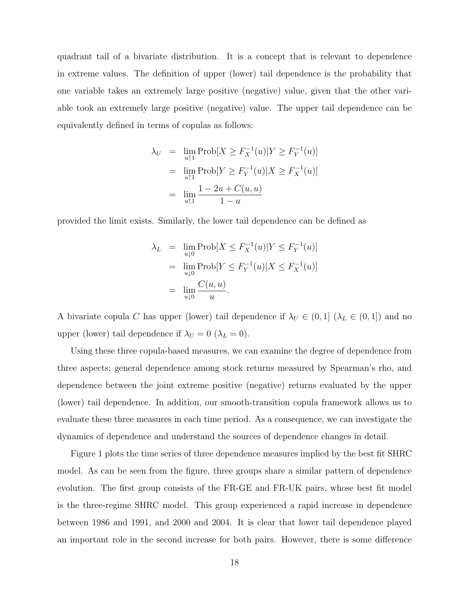quadrant tail of a bivariate distribution. It is a concept that is relevant to dependence in extreme values. The definition of upper (lower) tail dependence is the probability that one variable takes an extremely large positive (negative) value, given that the other variable took an extremely large positive (negative) value. The upper tail dependence can be equivalently defined in terms of copulas as follows:

$$
\lambda_U = \lim_{u \uparrow 1} \text{Prob}[X \ge F_X^{-1}(u)|Y \ge F_Y^{-1}(u)]
$$
  
= 
$$
\lim_{u \uparrow 1} \text{Prob}[Y \ge F_Y^{-1}(u)|X \ge F_X^{-1}(u)]
$$
  
= 
$$
\lim_{u \uparrow 1} \frac{1 - 2u + C(u, u)}{1 - u}
$$

provided the limit exists. Similarly, the lower tail dependence can be defined as

$$
\lambda_L = \lim_{u \downarrow 0} \text{Prob}[X \le F_X^{-1}(u)|Y \le F_Y^{-1}(u)]
$$
  
= 
$$
\lim_{u \downarrow 0} \text{Prob}[Y \le F_Y^{-1}(u)|X \le F_X^{-1}(u)]
$$
  
= 
$$
\lim_{u \downarrow 0} \frac{C(u, u)}{u}.
$$

A bivariate copula C has upper (lower) tail dependence if  $\lambda_U \in (0,1]$  ( $\lambda_L \in (0,1]$ ) and no upper (lower) tail dependence if  $\lambda_U = 0$  ( $\lambda_L = 0$ ).

Using these three copula-based measures, we can examine the degree of dependence from three aspects; general dependence among stock returns measured by Spearman's rho, and dependence between the joint extreme positive (negative) returns evaluated by the upper (lower) tail dependence. In addition, our smooth-transition copula framework allows us to evaluate these three measures in each time period. As a consequence, we can investigate the dynamics of dependence and understand the sources of dependence changes in detail.

Figure 1 plots the time series of three dependence measures implied by the best fit SHRC model. As can be seen from the figure, three groups share a similar pattern of dependence evolution. The first group consists of the FR-GE and FR-UK pairs, whose best fit model is the three-regime SHRC model. This group experienced a rapid increase in dependence between 1986 and 1991, and 2000 and 2004. It is clear that lower tail dependence played an important role in the second increase for both pairs. However, there is some difference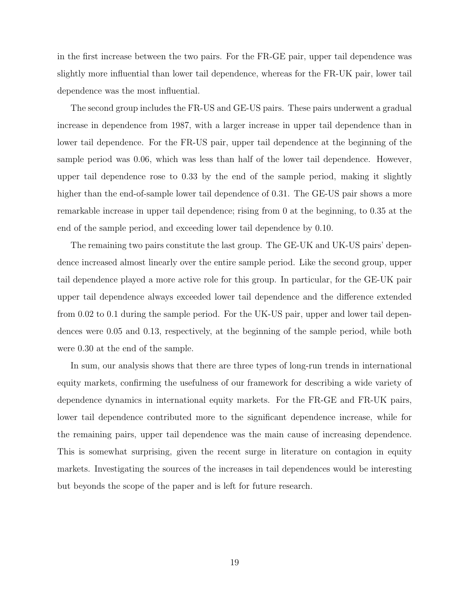in the first increase between the two pairs. For the FR-GE pair, upper tail dependence was slightly more influential than lower tail dependence, whereas for the FR-UK pair, lower tail dependence was the most influential.

The second group includes the FR-US and GE-US pairs. These pairs underwent a gradual increase in dependence from 1987, with a larger increase in upper tail dependence than in lower tail dependence. For the FR-US pair, upper tail dependence at the beginning of the sample period was 0.06, which was less than half of the lower tail dependence. However, upper tail dependence rose to 0.33 by the end of the sample period, making it slightly higher than the end-of-sample lower tail dependence of 0.31. The GE-US pair shows a more remarkable increase in upper tail dependence; rising from 0 at the beginning, to 0.35 at the end of the sample period, and exceeding lower tail dependence by 0.10.

The remaining two pairs constitute the last group. The GE-UK and UK-US pairs' dependence increased almost linearly over the entire sample period. Like the second group, upper tail dependence played a more active role for this group. In particular, for the GE-UK pair upper tail dependence always exceeded lower tail dependence and the difference extended from 0.02 to 0.1 during the sample period. For the UK-US pair, upper and lower tail dependences were 0.05 and 0.13, respectively, at the beginning of the sample period, while both were 0.30 at the end of the sample.

In sum, our analysis shows that there are three types of long-run trends in international equity markets, confirming the usefulness of our framework for describing a wide variety of dependence dynamics in international equity markets. For the FR-GE and FR-UK pairs, lower tail dependence contributed more to the significant dependence increase, while for the remaining pairs, upper tail dependence was the main cause of increasing dependence. This is somewhat surprising, given the recent surge in literature on contagion in equity markets. Investigating the sources of the increases in tail dependences would be interesting but beyonds the scope of the paper and is left for future research.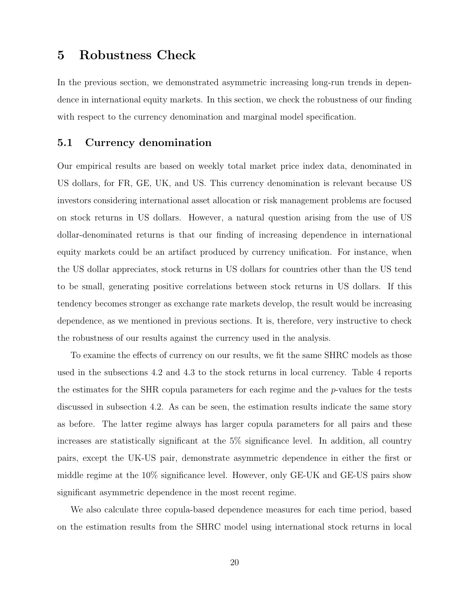### 5 Robustness Check

In the previous section, we demonstrated asymmetric increasing long-run trends in dependence in international equity markets. In this section, we check the robustness of our finding with respect to the currency denomination and marginal model specification.

#### 5.1 Currency denomination

Our empirical results are based on weekly total market price index data, denominated in US dollars, for FR, GE, UK, and US. This currency denomination is relevant because US investors considering international asset allocation or risk management problems are focused on stock returns in US dollars. However, a natural question arising from the use of US dollar-denominated returns is that our finding of increasing dependence in international equity markets could be an artifact produced by currency unification. For instance, when the US dollar appreciates, stock returns in US dollars for countries other than the US tend to be small, generating positive correlations between stock returns in US dollars. If this tendency becomes stronger as exchange rate markets develop, the result would be increasing dependence, as we mentioned in previous sections. It is, therefore, very instructive to check the robustness of our results against the currency used in the analysis.

To examine the effects of currency on our results, we fit the same SHRC models as those used in the subsections 4.2 and 4.3 to the stock returns in local currency. Table 4 reports the estimates for the SHR copula parameters for each regime and the p-values for the tests discussed in subsection 4.2. As can be seen, the estimation results indicate the same story as before. The latter regime always has larger copula parameters for all pairs and these increases are statistically significant at the 5% significance level. In addition, all country pairs, except the UK-US pair, demonstrate asymmetric dependence in either the first or middle regime at the 10% significance level. However, only GE-UK and GE-US pairs show significant asymmetric dependence in the most recent regime.

We also calculate three copula-based dependence measures for each time period, based on the estimation results from the SHRC model using international stock returns in local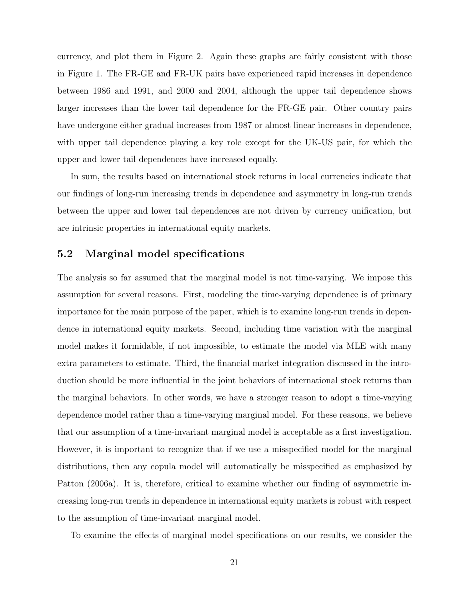currency, and plot them in Figure 2. Again these graphs are fairly consistent with those in Figure 1. The FR-GE and FR-UK pairs have experienced rapid increases in dependence between 1986 and 1991, and 2000 and 2004, although the upper tail dependence shows larger increases than the lower tail dependence for the FR-GE pair. Other country pairs have undergone either gradual increases from 1987 or almost linear increases in dependence, with upper tail dependence playing a key role except for the UK-US pair, for which the upper and lower tail dependences have increased equally.

In sum, the results based on international stock returns in local currencies indicate that our findings of long-run increasing trends in dependence and asymmetry in long-run trends between the upper and lower tail dependences are not driven by currency unification, but are intrinsic properties in international equity markets.

#### 5.2 Marginal model specifications

The analysis so far assumed that the marginal model is not time-varying. We impose this assumption for several reasons. First, modeling the time-varying dependence is of primary importance for the main purpose of the paper, which is to examine long-run trends in dependence in international equity markets. Second, including time variation with the marginal model makes it formidable, if not impossible, to estimate the model via MLE with many extra parameters to estimate. Third, the financial market integration discussed in the introduction should be more influential in the joint behaviors of international stock returns than the marginal behaviors. In other words, we have a stronger reason to adopt a time-varying dependence model rather than a time-varying marginal model. For these reasons, we believe that our assumption of a time-invariant marginal model is acceptable as a first investigation. However, it is important to recognize that if we use a misspecified model for the marginal distributions, then any copula model will automatically be misspecified as emphasized by Patton (2006a). It is, therefore, critical to examine whether our finding of asymmetric increasing long-run trends in dependence in international equity markets is robust with respect to the assumption of time-invariant marginal model.

To examine the effects of marginal model specifications on our results, we consider the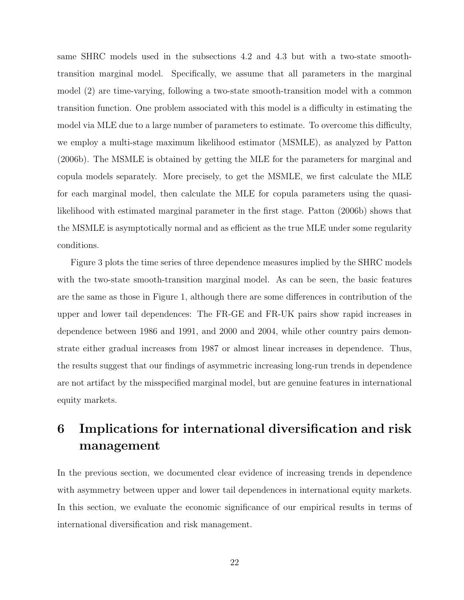same SHRC models used in the subsections 4.2 and 4.3 but with a two-state smoothtransition marginal model. Specifically, we assume that all parameters in the marginal model (2) are time-varying, following a two-state smooth-transition model with a common transition function. One problem associated with this model is a difficulty in estimating the model via MLE due to a large number of parameters to estimate. To overcome this difficulty, we employ a multi-stage maximum likelihood estimator (MSMLE), as analyzed by Patton (2006b). The MSMLE is obtained by getting the MLE for the parameters for marginal and copula models separately. More precisely, to get the MSMLE, we first calculate the MLE for each marginal model, then calculate the MLE for copula parameters using the quasilikelihood with estimated marginal parameter in the first stage. Patton (2006b) shows that the MSMLE is asymptotically normal and as efficient as the true MLE under some regularity conditions.

Figure 3 plots the time series of three dependence measures implied by the SHRC models with the two-state smooth-transition marginal model. As can be seen, the basic features are the same as those in Figure 1, although there are some differences in contribution of the upper and lower tail dependences: The FR-GE and FR-UK pairs show rapid increases in dependence between 1986 and 1991, and 2000 and 2004, while other country pairs demonstrate either gradual increases from 1987 or almost linear increases in dependence. Thus, the results suggest that our findings of asymmetric increasing long-run trends in dependence are not artifact by the misspecified marginal model, but are genuine features in international equity markets.

## 6 Implications for international diversification and risk management

In the previous section, we documented clear evidence of increasing trends in dependence with asymmetry between upper and lower tail dependences in international equity markets. In this section, we evaluate the economic significance of our empirical results in terms of international diversification and risk management.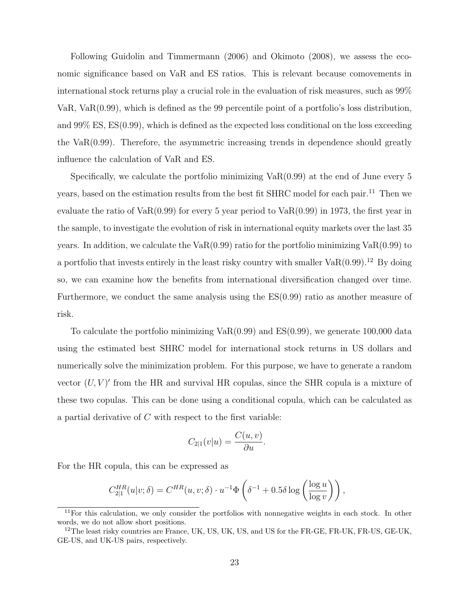Following Guidolin and Timmermann (2006) and Okimoto (2008), we assess the economic significance based on VaR and ES ratios. This is relevant because comovements in international stock returns play a crucial role in the evaluation of risk measures, such as 99% VaR, VaR(0.99), which is defined as the 99 percentile point of a portfolio's loss distribution, and 99% ES, ES(0.99), which is defined as the expected loss conditional on the loss exceeding the VaR(0.99). Therefore, the asymmetric increasing trends in dependence should greatly influence the calculation of VaR and ES.

Specifically, we calculate the portfolio minimizing VaR(0.99) at the end of June every 5 years, based on the estimation results from the best fit SHRC model for each pair.<sup>11</sup> Then we evaluate the ratio of  $VaR(0.99)$  for every 5 year period to  $VaR(0.99)$  in 1973, the first year in the sample, to investigate the evolution of risk in international equity markets over the last 35 years. In addition, we calculate the  $VaR(0.99)$  ratio for the portfolio minimizing  $VaR(0.99)$  to a portfolio that invests entirely in the least risky country with smaller  $VaR(0.99)$ .<sup>12</sup> By doing so, we can examine how the benefits from international diversification changed over time. Furthermore, we conduct the same analysis using the  $ES(0.99)$  ratio as another measure of risk.

To calculate the portfolio minimizing  $VaR(0.99)$  and  $ES(0.99)$ , we generate 100,000 data using the estimated best SHRC model for international stock returns in US dollars and numerically solve the minimization problem. For this purpose, we have to generate a random vector  $(U, V)'$  from the HR and survival HR copulas, since the SHR copula is a mixture of these two copulas. This can be done using a conditional copula, which can be calculated as a partial derivative of  $C$  with respect to the first variable:

$$
C_{2|1}(v|u) = \frac{C(u,v)}{\partial u}.
$$

For the HR copula, this can be expressed as

$$
C_{2|1}^{HR}(u|v;\delta) = C^{HR}(u,v;\delta) \cdot u^{-1} \Phi\left(\delta^{-1} + 0.5\delta \log \left(\frac{\log u}{\log v}\right)\right),\,
$$

 $11$ For this calculation, we only consider the portfolios with nonnegative weights in each stock. In other words, we do not allow short positions.

 $12$ The least risky countries are France, UK, US, UK, US, and US for the FR-GE, FR-UK, FR-US, GE-UK, GE-US, and UK-US pairs, respectively.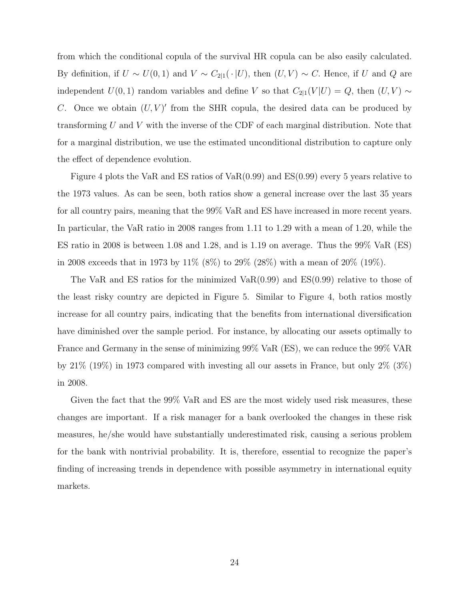from which the conditional copula of the survival HR copula can be also easily calculated. By definition, if  $U \sim U(0, 1)$  and  $V \sim C_{2|1}(\cdot | U)$ , then  $(U, V) \sim C$ . Hence, if U and Q are independent  $U(0, 1)$  random variables and define V so that  $C_{2|1}(V | U) = Q$ , then  $(U, V) \sim$ C. Once we obtain  $(U, V)'$  from the SHR copula, the desired data can be produced by transforming  $U$  and  $V$  with the inverse of the CDF of each marginal distribution. Note that for a marginal distribution, we use the estimated unconditional distribution to capture only the effect of dependence evolution.

Figure 4 plots the VaR and ES ratios of VaR $(0.99)$  and ES $(0.99)$  every 5 years relative to the 1973 values. As can be seen, both ratios show a general increase over the last 35 years for all country pairs, meaning that the 99% VaR and ES have increased in more recent years. In particular, the VaR ratio in 2008 ranges from 1.11 to 1.29 with a mean of 1.20, while the ES ratio in 2008 is between 1.08 and 1.28, and is 1.19 on average. Thus the 99% VaR (ES) in 2008 exceeds that in 1973 by 11% (8%) to 29% (28%) with a mean of 20% (19%).

The VaR and ES ratios for the minimized  $VaR(0.99)$  and  $ES(0.99)$  relative to those of the least risky country are depicted in Figure 5. Similar to Figure 4, both ratios mostly increase for all country pairs, indicating that the benefits from international diversification have diminished over the sample period. For instance, by allocating our assets optimally to France and Germany in the sense of minimizing 99% VaR (ES), we can reduce the 99% VAR by 21% (19%) in 1973 compared with investing all our assets in France, but only 2% (3%) in 2008.

Given the fact that the 99% VaR and ES are the most widely used risk measures, these changes are important. If a risk manager for a bank overlooked the changes in these risk measures, he/she would have substantially underestimated risk, causing a serious problem for the bank with nontrivial probability. It is, therefore, essential to recognize the paper's finding of increasing trends in dependence with possible asymmetry in international equity markets.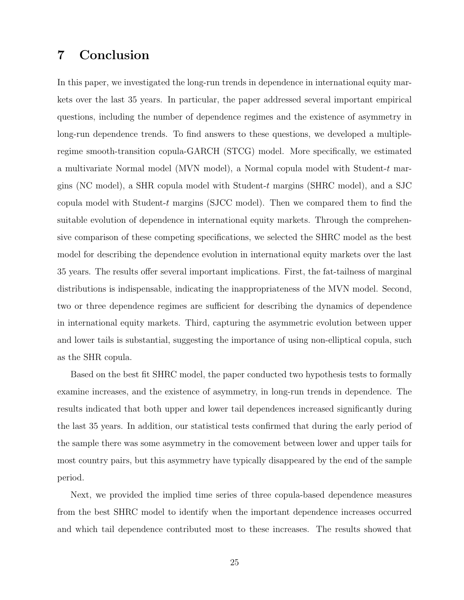### 7 Conclusion

In this paper, we investigated the long-run trends in dependence in international equity markets over the last 35 years. In particular, the paper addressed several important empirical questions, including the number of dependence regimes and the existence of asymmetry in long-run dependence trends. To find answers to these questions, we developed a multipleregime smooth-transition copula-GARCH (STCG) model. More specifically, we estimated a multivariate Normal model (MVN model), a Normal copula model with Student-t margins (NC model), a SHR copula model with Student-t margins (SHRC model), and a SJC copula model with Student-t margins (SJCC model). Then we compared them to find the suitable evolution of dependence in international equity markets. Through the comprehensive comparison of these competing specifications, we selected the SHRC model as the best model for describing the dependence evolution in international equity markets over the last 35 years. The results offer several important implications. First, the fat-tailness of marginal distributions is indispensable, indicating the inappropriateness of the MVN model. Second, two or three dependence regimes are sufficient for describing the dynamics of dependence in international equity markets. Third, capturing the asymmetric evolution between upper and lower tails is substantial, suggesting the importance of using non-elliptical copula, such as the SHR copula.

Based on the best fit SHRC model, the paper conducted two hypothesis tests to formally examine increases, and the existence of asymmetry, in long-run trends in dependence. The results indicated that both upper and lower tail dependences increased significantly during the last 35 years. In addition, our statistical tests confirmed that during the early period of the sample there was some asymmetry in the comovement between lower and upper tails for most country pairs, but this asymmetry have typically disappeared by the end of the sample period.

Next, we provided the implied time series of three copula-based dependence measures from the best SHRC model to identify when the important dependence increases occurred and which tail dependence contributed most to these increases. The results showed that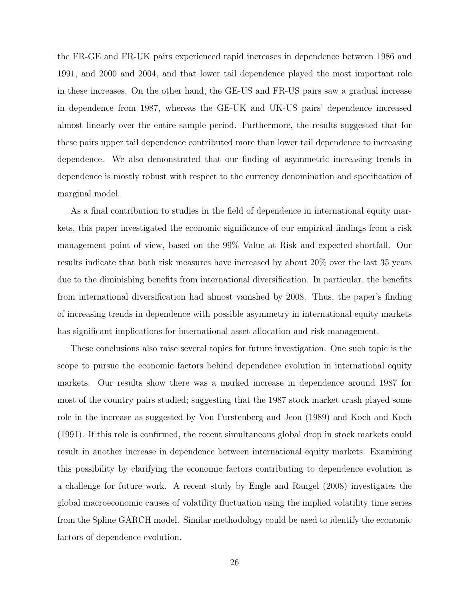the FR-GE and FR-UK pairs experienced rapid increases in dependence between 1986 and 1991, and 2000 and 2004, and that lower tail dependence played the most important role in these increases. On the other hand, the GE-US and FR-US pairs saw a gradual increase in dependence from 1987, whereas the GE-UK and UK-US pairs' dependence increased almost linearly over the entire sample period. Furthermore, the results suggested that for these pairs upper tail dependence contributed more than lower tail dependence to increasing dependence. We also demonstrated that our finding of asymmetric increasing trends in dependence is mostly robust with respect to the currency denomination and specification of marginal model.

As a final contribution to studies in the field of dependence in international equity markets, this paper investigated the economic significance of our empirical findings from a risk management point of view, based on the 99% Value at Risk and expected shortfall. Our results indicate that both risk measures have increased by about 20% over the last 35 years due to the diminishing benefits from international diversification. In particular, the benefits from international diversification had almost vanished by 2008. Thus, the paper's finding of increasing trends in dependence with possible asymmetry in international equity markets has significant implications for international asset allocation and risk management.

These conclusions also raise several topics for future investigation. One such topic is the scope to pursue the economic factors behind dependence evolution in international equity markets. Our results show there was a marked increase in dependence around 1987 for most of the country pairs studied; suggesting that the 1987 stock market crash played some role in the increase as suggested by Von Furstenberg and Jeon (1989) and Koch and Koch (1991). If this role is confirmed, the recent simultaneous global drop in stock markets could result in another increase in dependence between international equity markets. Examining this possibility by clarifying the economic factors contributing to dependence evolution is a challenge for future work. A recent study by Engle and Rangel (2008) investigates the global macroeconomic causes of volatility fluctuation using the implied volatility time series from the Spline GARCH model. Similar methodology could be used to identify the economic factors of dependence evolution.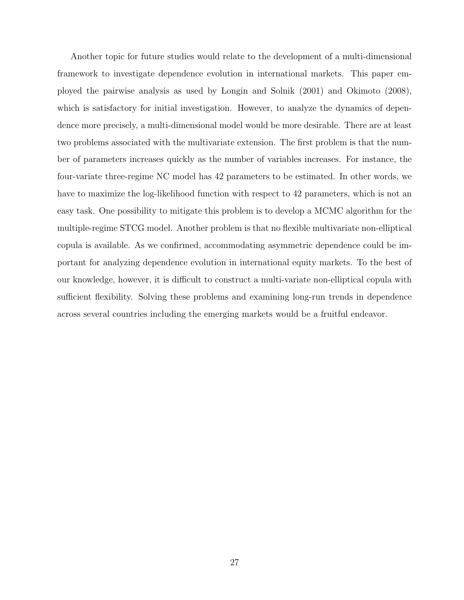Another topic for future studies would relate to the development of a multi-dimensional framework to investigate dependence evolution in international markets. This paper employed the pairwise analysis as used by Longin and Solnik (2001) and Okimoto (2008), which is satisfactory for initial investigation. However, to analyze the dynamics of dependence more precisely, a multi-dimensional model would be more desirable. There are at least two problems associated with the multivariate extension. The first problem is that the number of parameters increases quickly as the number of variables increases. For instance, the four-variate three-regime NC model has 42 parameters to be estimated. In other words, we have to maximize the log-likelihood function with respect to 42 parameters, which is not an easy task. One possibility to mitigate this problem is to develop a MCMC algorithm for the multiple-regime STCG model. Another problem is that no flexible multivariate non-elliptical copula is available. As we confirmed, accommodating asymmetric dependence could be important for analyzing dependence evolution in international equity markets. To the best of our knowledge, however, it is difficult to construct a multi-variate non-elliptical copula with sufficient flexibility. Solving these problems and examining long-run trends in dependence across several countries including the emerging markets would be a fruitful endeavor.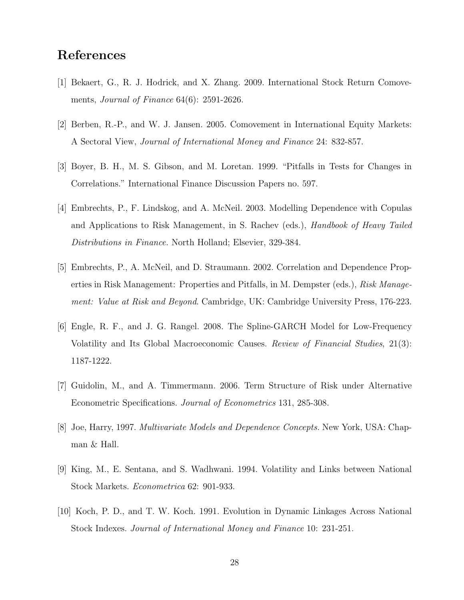### References

- [1] Bekaert, G., R. J. Hodrick, and X. Zhang. 2009. International Stock Return Comovements, Journal of Finance 64(6): 2591-2626.
- [2] Berben, R.-P., and W. J. Jansen. 2005. Comovement in International Equity Markets: A Sectoral View, Journal of International Money and Finance 24: 832-857.
- [3] Boyer, B. H., M. S. Gibson, and M. Loretan. 1999. "Pitfalls in Tests for Changes in Correlations." International Finance Discussion Papers no. 597.
- [4] Embrechts, P., F. Lindskog, and A. McNeil. 2003. Modelling Dependence with Copulas and Applications to Risk Management, in S. Rachev (eds.), Handbook of Heavy Tailed Distributions in Finance. North Holland; Elsevier, 329-384.
- [5] Embrechts, P., A. McNeil, and D. Straumann. 2002. Correlation and Dependence Properties in Risk Management: Properties and Pitfalls, in M. Dempster (eds.), Risk Management: Value at Risk and Beyond. Cambridge, UK: Cambridge University Press, 176-223.
- [6] Engle, R. F., and J. G. Rangel. 2008. The Spline-GARCH Model for Low-Frequency Volatility and Its Global Macroeconomic Causes. Review of Financial Studies, 21(3): 1187-1222.
- [7] Guidolin, M., and A. Timmermann. 2006. Term Structure of Risk under Alternative Econometric Specifications. Journal of Econometrics 131, 285-308.
- [8] Joe, Harry, 1997. Multivariate Models and Dependence Concepts. New York, USA: Chapman & Hall.
- [9] King, M., E. Sentana, and S. Wadhwani. 1994. Volatility and Links between National Stock Markets. Econometrica 62: 901-933.
- [10] Koch, P. D., and T. W. Koch. 1991. Evolution in Dynamic Linkages Across National Stock Indexes. Journal of International Money and Finance 10: 231-251.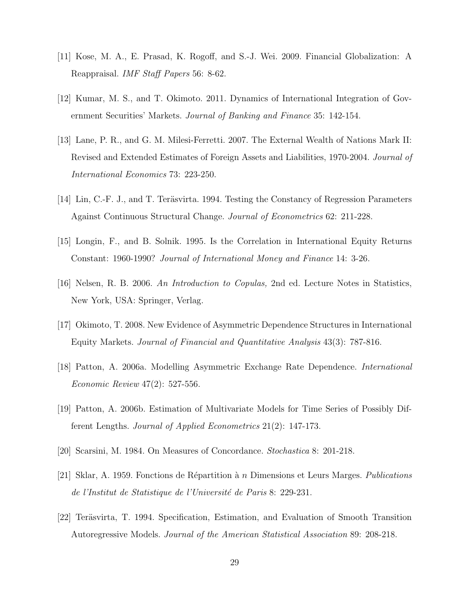- [11] Kose, M. A., E. Prasad, K. Rogoff, and S.-J. Wei. 2009. Financial Globalization: A Reappraisal. IMF Staff Papers 56: 8-62.
- [12] Kumar, M. S., and T. Okimoto. 2011. Dynamics of International Integration of Government Securities' Markets. Journal of Banking and Finance 35: 142-154.
- [13] Lane, P. R., and G. M. Milesi-Ferretti. 2007. The External Wealth of Nations Mark II: Revised and Extended Estimates of Foreign Assets and Liabilities, 1970-2004. Journal of International Economics 73: 223-250.
- [14] Lin, C.-F. J., and T. Teräsvirta. 1994. Testing the Constancy of Regression Parameters Against Continuous Structural Change. Journal of Econometrics 62: 211-228.
- [15] Longin, F., and B. Solnik. 1995. Is the Correlation in International Equity Returns Constant: 1960-1990? Journal of International Money and Finance 14: 3-26.
- [16] Nelsen, R. B. 2006. An Introduction to Copulas, 2nd ed. Lecture Notes in Statistics, New York, USA: Springer, Verlag.
- [17] Okimoto, T. 2008. New Evidence of Asymmetric Dependence Structures in International Equity Markets. Journal of Financial and Quantitative Analysis 43(3): 787-816.
- [18] Patton, A. 2006a. Modelling Asymmetric Exchange Rate Dependence. International Economic Review 47(2): 527-556.
- [19] Patton, A. 2006b. Estimation of Multivariate Models for Time Series of Possibly Different Lengths. Journal of Applied Econometrics 21(2): 147-173.
- [20] Scarsini, M. 1984. On Measures of Concordance. Stochastica 8: 201-218.
- [21] Sklar, A. 1959. Fonctions de Répartition à *n* Dimensions et Leurs Marges. *Publications* de l'Institut de Statistique de l'Université de Paris 8: 229-231.
- [22] Teräsvirta, T. 1994. Specification, Estimation, and Evaluation of Smooth Transition Autoregressive Models. Journal of the American Statistical Association 89: 208-218.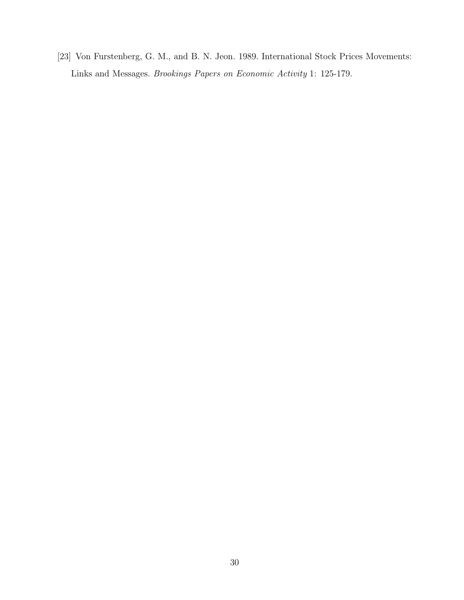[23] Von Furstenberg, G. M., and B. N. Jeon. 1989. International Stock Prices Movements: Links and Messages. Brookings Papers on Economic Activity 1: 125-179.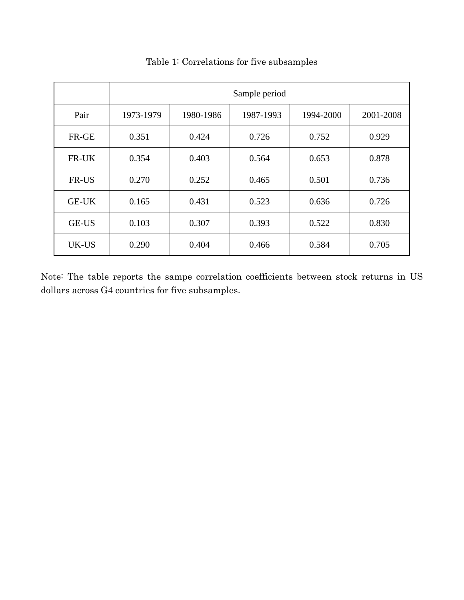|              | Sample period |           |           |           |           |  |
|--------------|---------------|-----------|-----------|-----------|-----------|--|
| Pair         | 1973-1979     | 1980-1986 | 1987-1993 | 1994-2000 | 2001-2008 |  |
| FR-GE        | 0.351         | 0.424     | 0.726     | 0.752     | 0.929     |  |
| FR-UK        | 0.354         | 0.403     | 0.564     | 0.653     | 0.878     |  |
| FR-US        | 0.270         | 0.252     | 0.465     | 0.501     | 0.736     |  |
| <b>GE-UK</b> | 0.165         | 0.431     | 0.523     | 0.636     | 0.726     |  |
| <b>GE-US</b> | 0.103         | 0.307     | 0.393     | 0.522     | 0.830     |  |
| UK-US        | 0.290         | 0.404     | 0.466     | 0.584     | 0.705     |  |

### Table 1: Correlations for five subsamples

Note: The table reports the sampe correlation coefficients between stock returns in US dollars across G4 countries for five subsamples.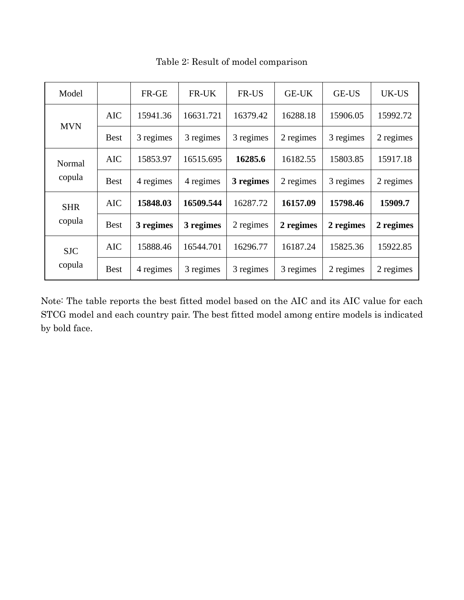| Model                |             | FR-GE     | FR-UK     | FR-US     | <b>GE-UK</b> | <b>GE-US</b> | UK-US     |
|----------------------|-------------|-----------|-----------|-----------|--------------|--------------|-----------|
| <b>MVN</b>           | <b>AIC</b>  | 15941.36  | 16631.721 | 16379.42  | 16288.18     | 15906.05     | 15992.72  |
|                      | <b>Best</b> | 3 regimes | 3 regimes | 3 regimes | 2 regimes    | 3 regimes    | 2 regimes |
| Normal<br>copula     | <b>AIC</b>  | 15853.97  | 16515.695 | 16285.6   | 16182.55     | 15803.85     | 15917.18  |
|                      | <b>Best</b> | 4 regimes | 4 regimes | 3 regimes | 2 regimes    | 3 regimes    | 2 regimes |
| <b>SHR</b><br>copula | <b>AIC</b>  | 15848.03  | 16509.544 | 16287.72  | 16157.09     | 15798.46     | 15909.7   |
|                      | <b>Best</b> | 3 regimes | 3 regimes | 2 regimes | 2 regimes    | 2 regimes    | 2 regimes |
| <b>SJC</b><br>copula | <b>AIC</b>  | 15888.46  | 16544.701 | 16296.77  | 16187.24     | 15825.36     | 15922.85  |
|                      | <b>Best</b> | 4 regimes | 3 regimes | 3 regimes | 3 regimes    | 2 regimes    | 2 regimes |

Table 2: Result of model comparison

Note: The table reports the best fitted model based on the AIC and its AIC value for each STCG model and each country pair. The best fitted model among entire models is indicated by bold face.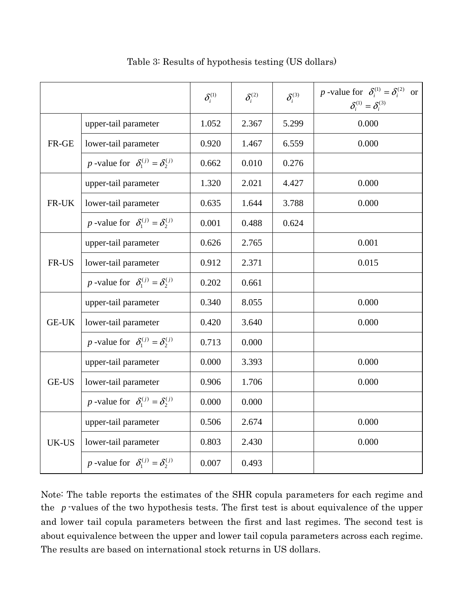|              |                                                       | $\delta_i^{\text{\tiny (1)}}$ | $\delta_i^{(2)}$ | $\delta_i^{(3)}$ | p -value for $\delta_i^{(1)} = \delta_i^{(2)}$ or<br>$\delta_i^{(1)} = \delta_i^{(3)}$ |
|--------------|-------------------------------------------------------|-------------------------------|------------------|------------------|----------------------------------------------------------------------------------------|
| FR-GE        | upper-tail parameter                                  | 1.052                         | 2.367            | 5.299            | 0.000                                                                                  |
|              | lower-tail parameter                                  | 0.920                         | 1.467            | 6.559            | 0.000                                                                                  |
|              | p -value for $\delta_1^{(j)} = \delta_2^{(j)}$        | 0.662                         | 0.010            | 0.276            |                                                                                        |
| FR-UK        | upper-tail parameter                                  | 1.320                         | 2.021            | 4.427            | 0.000                                                                                  |
|              | lower-tail parameter                                  | 0.635                         | 1.644            | 3.788            | 0.000                                                                                  |
|              | <i>p</i> -value for $\delta_1^{(j)} = \delta_2^{(j)}$ | 0.001                         | 0.488            | 0.624            |                                                                                        |
| FR-US        | upper-tail parameter                                  | 0.626                         | 2.765            |                  | 0.001                                                                                  |
|              | lower-tail parameter                                  | 0.912                         | 2.371            |                  | 0.015                                                                                  |
|              | p -value for $\delta_1^{(j)} = \delta_2^{(j)}$        | 0.202                         | 0.661            |                  |                                                                                        |
| <b>GE-UK</b> | upper-tail parameter                                  | 0.340                         | 8.055            |                  | 0.000                                                                                  |
|              | lower-tail parameter                                  | 0.420                         | 3.640            |                  | 0.000                                                                                  |
|              | p -value for $\delta_1^{(j)} = \delta_2^{(j)}$        | 0.713                         | 0.000            |                  |                                                                                        |
| <b>GE-US</b> | upper-tail parameter                                  | 0.000                         | 3.393            |                  | 0.000                                                                                  |
|              | lower-tail parameter                                  | 0.906                         | 1.706            |                  | 0.000                                                                                  |
|              | <i>p</i> -value for $\delta_1^{(j)} = \delta_2^{(j)}$ | 0.000                         | 0.000            |                  |                                                                                        |
| UK-US        | upper-tail parameter                                  | 0.506                         | 2.674            |                  | 0.000                                                                                  |
|              | lower-tail parameter                                  | 0.803                         | 2.430            |                  | 0.000                                                                                  |
|              | p -value for $\delta_1^{(j)} = \delta_2^{(j)}$        | 0.007                         | 0.493            |                  |                                                                                        |

Table 3: Results of hypothesis testing (US dollars)

Note: The table reports the estimates of the SHR copula parameters for each regime and the *p* -values of the two hypothesis tests. The first test is about equivalence of the upper and lower tail copula parameters between the first and last regimes. The second test is about equivalence between the upper and lower tail copula parameters across each regime. The results are based on international stock returns in US dollars.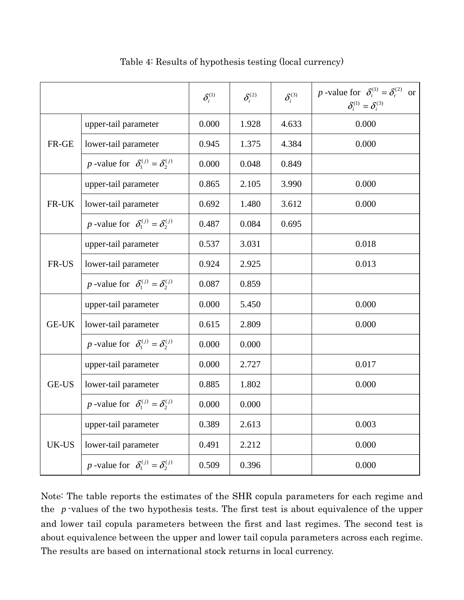|              |                                                       | $\delta_i^{\textrm{\tiny (1)}}$ | $\delta_i^{(2)}$ | $\delta_i^{(3)}$ | p -value for $\delta_i^{(1)} = \delta_i^{(2)}$ or<br>$\delta_i^{(1)} = \delta_i^{(3)}$ |
|--------------|-------------------------------------------------------|---------------------------------|------------------|------------------|----------------------------------------------------------------------------------------|
| FR-GE        | upper-tail parameter                                  | 0.000                           | 1.928            | 4.633            | 0.000                                                                                  |
|              | lower-tail parameter                                  | 0.945                           | 1.375            | 4.384            | 0.000                                                                                  |
|              | <i>p</i> -value for $\delta_1^{(j)} = \delta_2^{(j)}$ | 0.000                           | 0.048            | 0.849            |                                                                                        |
| FR-UK        | upper-tail parameter                                  | 0.865                           | 2.105            | 3.990            | 0.000                                                                                  |
|              | lower-tail parameter                                  | 0.692                           | 1.480            | 3.612            | 0.000                                                                                  |
|              | <i>p</i> -value for $\delta_1^{(j)} = \delta_2^{(j)}$ | 0.487                           | 0.084            | 0.695            |                                                                                        |
| FR-US        | upper-tail parameter                                  | 0.537                           | 3.031            |                  | 0.018                                                                                  |
|              | lower-tail parameter                                  | 0.924                           | 2.925            |                  | 0.013                                                                                  |
|              | <i>p</i> -value for $\delta_1^{(j)} = \delta_2^{(j)}$ | 0.087                           | 0.859            |                  |                                                                                        |
| <b>GE-UK</b> | upper-tail parameter                                  | 0.000                           | 5.450            |                  | 0.000                                                                                  |
|              | lower-tail parameter                                  | 0.615                           | 2.809            |                  | 0.000                                                                                  |
|              | <i>p</i> -value for $\delta_1^{(j)} = \delta_2^{(j)}$ | 0.000                           | 0.000            |                  |                                                                                        |
| <b>GE-US</b> | upper-tail parameter                                  | 0.000                           | 2.727            |                  | 0.017                                                                                  |
|              | lower-tail parameter                                  | 0.885                           | 1.802            |                  | 0.000                                                                                  |
|              | <i>p</i> -value for $\delta_1^{(j)} = \delta_2^{(j)}$ | 0.000                           | 0.000            |                  |                                                                                        |
| UK-US        | upper-tail parameter                                  | 0.389                           | 2.613            |                  | 0.003                                                                                  |
|              | lower-tail parameter                                  | 0.491                           | 2.212            |                  | 0.000                                                                                  |
|              | p -value for $\delta_1^{(j)} = \delta_2^{(j)}$        | 0.509                           | 0.396            |                  | 0.000                                                                                  |

Table 4: Results of hypothesis testing (local currency)

Note: The table reports the estimates of the SHR copula parameters for each regime and the *p* -values of the two hypothesis tests. The first test is about equivalence of the upper and lower tail copula parameters between the first and last regimes. The second test is about equivalence between the upper and lower tail copula parameters across each regime. The results are based on international stock returns in local currency.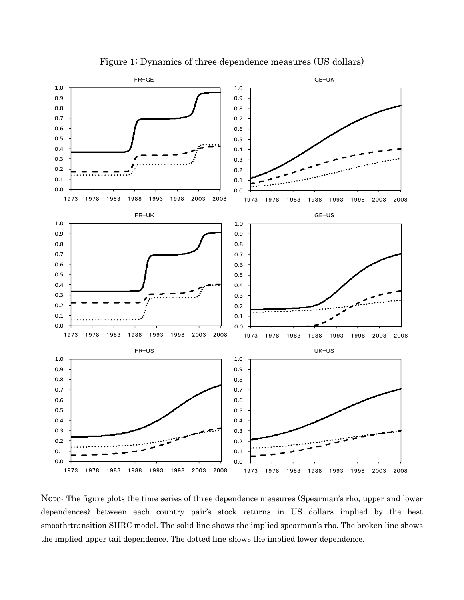

Figure 1: Dynamics of three dependence measures (US dollars)

Note: The figure plots the time series of three dependence measures (Spearman's rho, upper and lower dependences) between each country pair's stock returns in US dollars implied by the best smooth-transition SHRC model. The solid line shows the implied spearman's rho. The broken line shows the implied upper tail dependence. The dotted line shows the implied lower dependence.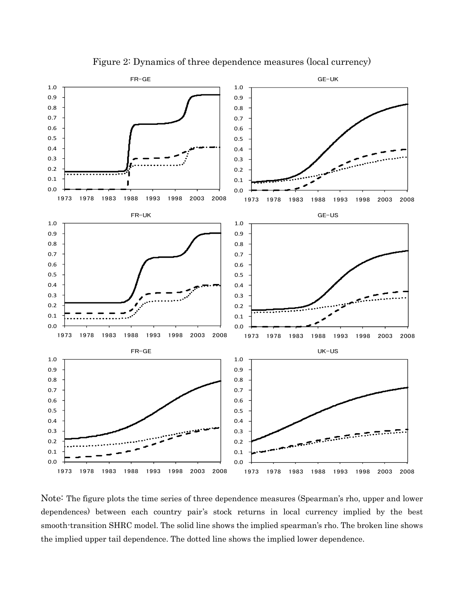

Figure 2: Dynamics of three dependence measures (local currency)

Note: The figure plots the time series of three dependence measures (Spearman's rho, upper and lower dependences) between each country pair's stock returns in local currency implied by the best smooth-transition SHRC model. The solid line shows the implied spearman's rho. The broken line shows the implied upper tail dependence. The dotted line shows the implied lower dependence.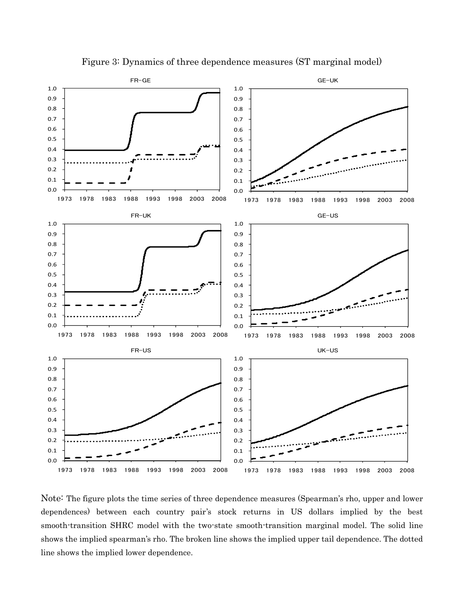

Figure 3: Dynamics of three dependence measures (ST marginal model)

Note: The figure plots the time series of three dependence measures (Spearman's rho, upper and lower dependences) between each country pair's stock returns in US dollars implied by the best smooth-transition SHRC model with the two-state smooth-transition marginal model. The solid line shows the implied spearman's rho. The broken line shows the implied upper tail dependence. The dotted line shows the implied lower dependence.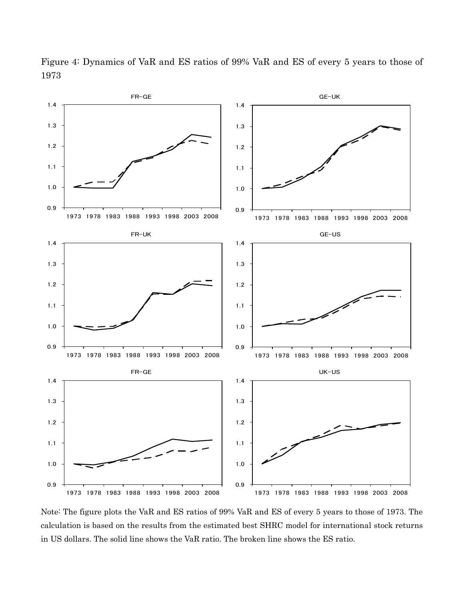

Figure 4: Dynamics of VaR and ES ratios of 99% VaR and ES of every 5 years to those of 1973

Note: The figure plots the VaR and ES ratios of 99% VaR and ES of every 5 years to those of 1973. The calculation is based on the results from the estimated best SHRC model for international stock returns in US dollars. The solid line shows the VaR ratio. The broken line shows the ES ratio.